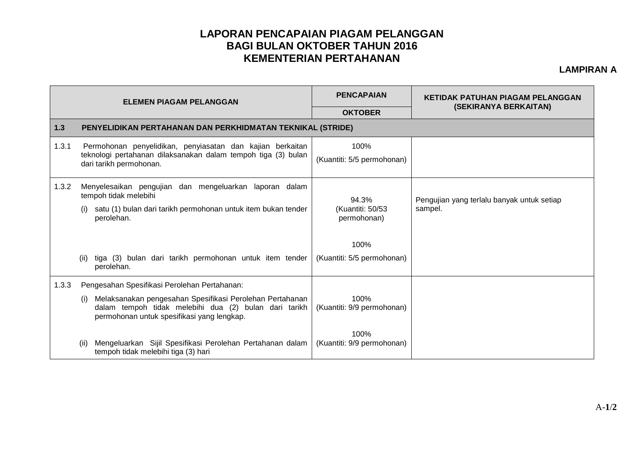## **LAPORAN PENCAPAIAN PIAGAM PELANGGAN BAGI BULAN OKTOBER TAHUN 2016 KEMENTERIAN PERTAHANAN**

## **LAMPIRAN A**

| <b>ELEMEN PIAGAM PELANGGAN</b> |                                                                                                                                                                        | <b>PENCAPAIAN</b>                        | KETIDAK PATUHAN PIAGAM PELANGGAN                      |  |  |  |
|--------------------------------|------------------------------------------------------------------------------------------------------------------------------------------------------------------------|------------------------------------------|-------------------------------------------------------|--|--|--|
|                                |                                                                                                                                                                        | <b>OKTOBER</b>                           | (SEKIRANYA BERKAITAN)                                 |  |  |  |
| $1.3$                          | PENYELIDIKAN PERTAHANAN DAN PERKHIDMATAN TEKNIKAL (STRIDE)                                                                                                             |                                          |                                                       |  |  |  |
| 1.3.1                          | Permohonan penyelidikan, penyiasatan dan kajian berkaitan<br>teknologi pertahanan dilaksanakan dalam tempoh tiga (3) bulan<br>dari tarikh permohonan.                  | 100%<br>(Kuantiti: 5/5 permohonan)       |                                                       |  |  |  |
| 1.3.2                          | Menyelesaikan pengujian dan mengeluarkan laporan dalam<br>tempoh tidak melebihi                                                                                        | 94.3%<br>(Kuantiti: 50/53<br>permohonan) | Pengujian yang terlalu banyak untuk setiap<br>sampel. |  |  |  |
|                                | satu (1) bulan dari tarikh permohonan untuk item bukan tender<br>(i)<br>perolehan.                                                                                     |                                          |                                                       |  |  |  |
|                                |                                                                                                                                                                        | 100%                                     |                                                       |  |  |  |
|                                | tiga (3) bulan dari tarikh permohonan untuk item tender<br>(ii)<br>perolehan.                                                                                          | (Kuantiti: 5/5 permohonan)               |                                                       |  |  |  |
| 1.3.3                          | Pengesahan Spesifikasi Perolehan Pertahanan:                                                                                                                           |                                          |                                                       |  |  |  |
|                                | Melaksanakan pengesahan Spesifikasi Perolehan Pertahanan<br>(i)<br>dalam tempoh tidak melebihi dua (2) bulan dari tarikh<br>permohonan untuk spesifikasi yang lengkap. | 100%<br>(Kuantiti: 9/9 permohonan)       |                                                       |  |  |  |
|                                | Mengeluarkan Sijil Spesifikasi Perolehan Pertahanan dalam<br>(ii)<br>tempoh tidak melebihi tiga (3) hari                                                               | 100%<br>(Kuantiti: 9/9 permohonan)       |                                                       |  |  |  |